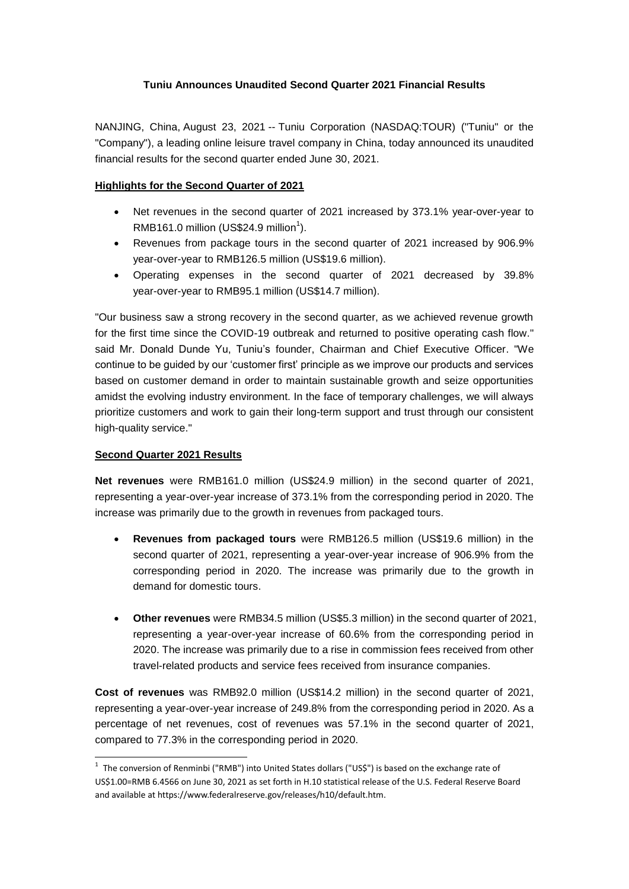## **Tuniu Announces Unaudited Second Quarter 2021 Financial Results**

NANJING, China, August 23, 2021 -- Tuniu Corporation (NASDAQ:TOUR) ("Tuniu" or the "Company"), a leading online leisure travel company in China, today announced its unaudited financial results for the second quarter ended June 30, 2021.

## **Highlights for the Second Quarter of 2021**

- Net revenues in the second quarter of 2021 increased by 373.1% year-over-year to  $RMB161.0$  million (US\$24.9 million<sup>1</sup>).
- Revenues from package tours in the second quarter of 2021 increased by 906.9% year-over-year to RMB126.5 million (US\$19.6 million).
- Operating expenses in the second quarter of 2021 decreased by 39.8% year-over-year to RMB95.1 million (US\$14.7 million).

"Our business saw a strong recovery in the second quarter, as we achieved revenue growth for the first time since the COVID-19 outbreak and returned to positive operating cash flow." said Mr. Donald Dunde Yu, Tuniu's founder, Chairman and Chief Executive Officer. "We continue to be guided by our 'customer first' principle as we improve our products and services based on customer demand in order to maintain sustainable growth and seize opportunities amidst the evolving industry environment. In the face of temporary challenges, we will always prioritize customers and work to gain their long-term support and trust through our consistent high-quality service."

## **Second Quarter 2021 Results**

-

**Net revenues** were RMB161.0 million (US\$24.9 million) in the second quarter of 2021, representing a year-over-year increase of 373.1% from the corresponding period in 2020. The increase was primarily due to the growth in revenues from packaged tours.

- **Revenues from packaged tours** were RMB126.5 million (US\$19.6 million) in the second quarter of 2021, representing a year-over-year increase of 906.9% from the corresponding period in 2020. The increase was primarily due to the growth in demand for domestic tours.
- **Other revenues** were RMB34.5 million (US\$5.3 million) in the second quarter of 2021, representing a year-over-year increase of 60.6% from the corresponding period in 2020. The increase was primarily due to a rise in commission fees received from other travel-related products and service fees received from insurance companies.

**Cost of revenues** was RMB92.0 million (US\$14.2 million) in the second quarter of 2021, representing a year-over-year increase of 249.8% from the corresponding period in 2020. As a percentage of net revenues, cost of revenues was 57.1% in the second quarter of 2021, compared to 77.3% in the corresponding period in 2020.

<sup>&</sup>lt;sup>1</sup> The conversion of Renminbi ("RMB") into United States dollars ("US\$") is based on the exchange rate of US\$1.00=RMB 6.4566 on June 30, 2021 as set forth in H.10 statistical release of the U.S. Federal Reserve Board and available at https://www.federalreserve.gov/releases/h10/default.htm.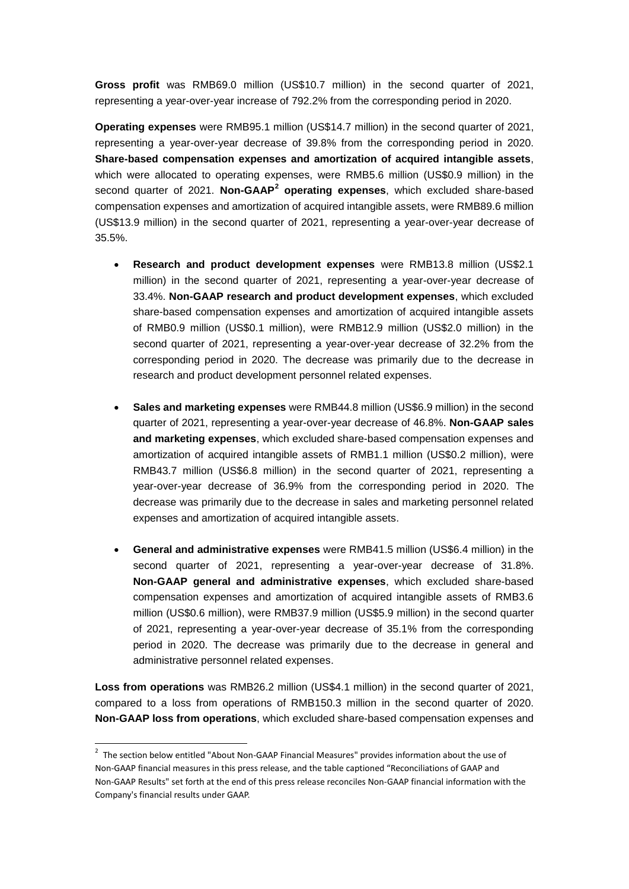**Gross profit** was RMB69.0 million (US\$10.7 million) in the second quarter of 2021, representing a year-over-year increase of 792.2% from the corresponding period in 2020.

**Operating expenses** were RMB95.1 million (US\$14.7 million) in the second quarter of 2021, representing a year-over-year decrease of 39.8% from the corresponding period in 2020. **Share-based compensation expenses and amortization of acquired intangible assets**, which were allocated to operating expenses, were RMB5.6 million (US\$0.9 million) in the second quarter of 2021. **Non-GAAP<sup>2</sup> operating expenses**, which excluded share-based compensation expenses and amortization of acquired intangible assets, were RMB89.6 million (US\$13.9 million) in the second quarter of 2021, representing a year-over-year decrease of 35.5%.

- **Research and product development expenses** were RMB13.8 million (US\$2.1 million) in the second quarter of 2021, representing a year-over-year decrease of 33.4%. **Non-GAAP research and product development expenses**, which excluded share-based compensation expenses and amortization of acquired intangible assets of RMB0.9 million (US\$0.1 million), were RMB12.9 million (US\$2.0 million) in the second quarter of 2021, representing a year-over-year decrease of 32.2% from the corresponding period in 2020. The decrease was primarily due to the decrease in research and product development personnel related expenses.
- **Sales and marketing expenses** were RMB44.8 million (US\$6.9 million) in the second quarter of 2021, representing a year-over-year decrease of 46.8%. **Non-GAAP sales and marketing expenses**, which excluded share-based compensation expenses and amortization of acquired intangible assets of RMB1.1 million (US\$0.2 million), were RMB43.7 million (US\$6.8 million) in the second quarter of 2021, representing a year-over-year decrease of 36.9% from the corresponding period in 2020. The decrease was primarily due to the decrease in sales and marketing personnel related expenses and amortization of acquired intangible assets.
- **General and administrative expenses** were RMB41.5 million (US\$6.4 million) in the second quarter of 2021, representing a year-over-year decrease of 31.8%. **Non-GAAP general and administrative expenses**, which excluded share-based compensation expenses and amortization of acquired intangible assets of RMB3.6 million (US\$0.6 million), were RMB37.9 million (US\$5.9 million) in the second quarter of 2021, representing a year-over-year decrease of 35.1% from the corresponding period in 2020. The decrease was primarily due to the decrease in general and administrative personnel related expenses.

**Loss from operations** was RMB26.2 million (US\$4.1 million) in the second quarter of 2021, compared to a loss from operations of RMB150.3 million in the second quarter of 2020. **Non-GAAP loss from operations**, which excluded share-based compensation expenses and

-

 $2$  The section below entitled "About Non-GAAP Financial Measures" provides information about the use of Non-GAAP financial measures in this press release, and the table captioned "Reconciliations of GAAP and Non-GAAP Results" set forth at the end of this press release reconciles Non-GAAP financial information with the Company's financial results under GAAP.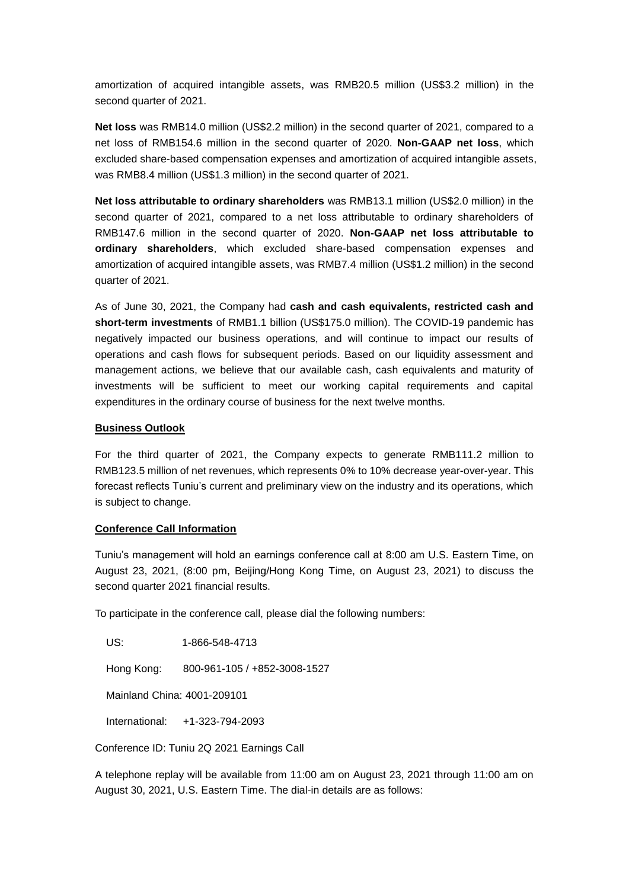amortization of acquired intangible assets, was RMB20.5 million (US\$3.2 million) in the second quarter of 2021.

**Net loss** was RMB14.0 million (US\$2.2 million) in the second quarter of 2021, compared to a net loss of RMB154.6 million in the second quarter of 2020. **Non-GAAP net loss**, which excluded share-based compensation expenses and amortization of acquired intangible assets, was RMB8.4 million (US\$1.3 million) in the second quarter of 2021.

**Net loss attributable to ordinary shareholders** was RMB13.1 million (US\$2.0 million) in the second quarter of 2021, compared to a net loss attributable to ordinary shareholders of RMB147.6 million in the second quarter of 2020. **Non-GAAP net loss attributable to ordinary shareholders**, which excluded share-based compensation expenses and amortization of acquired intangible assets, was RMB7.4 million (US\$1.2 million) in the second quarter of 2021.

As of June 30, 2021, the Company had **cash and cash equivalents, restricted cash and short-term investments** of RMB1.1 billion (US\$175.0 million). The COVID-19 pandemic has negatively impacted our business operations, and will continue to impact our results of operations and cash flows for subsequent periods. Based on our liquidity assessment and management actions, we believe that our available cash, cash equivalents and maturity of investments will be sufficient to meet our working capital requirements and capital expenditures in the ordinary course of business for the next twelve months.

#### **Business Outlook**

For the third quarter of 2021, the Company expects to generate RMB111.2 million to RMB123.5 million of net revenues, which represents 0% to 10% decrease year-over-year. This forecast reflects Tuniu's current and preliminary view on the industry and its operations, which is subject to change.

## **Conference Call Information**

Tuniu's management will hold an earnings conference call at 8:00 am U.S. Eastern Time, on August 23, 2021, (8:00 pm, Beijing/Hong Kong Time, on August 23, 2021) to discuss the second quarter 2021 financial results.

To participate in the conference call, please dial the following numbers:

US: 1-866-548-4713

Hong Kong: 800-961-105 / +852-3008-1527

Mainland China: 4001-209101

International: +1-323-794-2093

Conference ID: Tuniu 2Q 2021 Earnings Call

A telephone replay will be available from 11:00 am on August 23, 2021 through 11:00 am on August 30, 2021, U.S. Eastern Time. The dial-in details are as follows: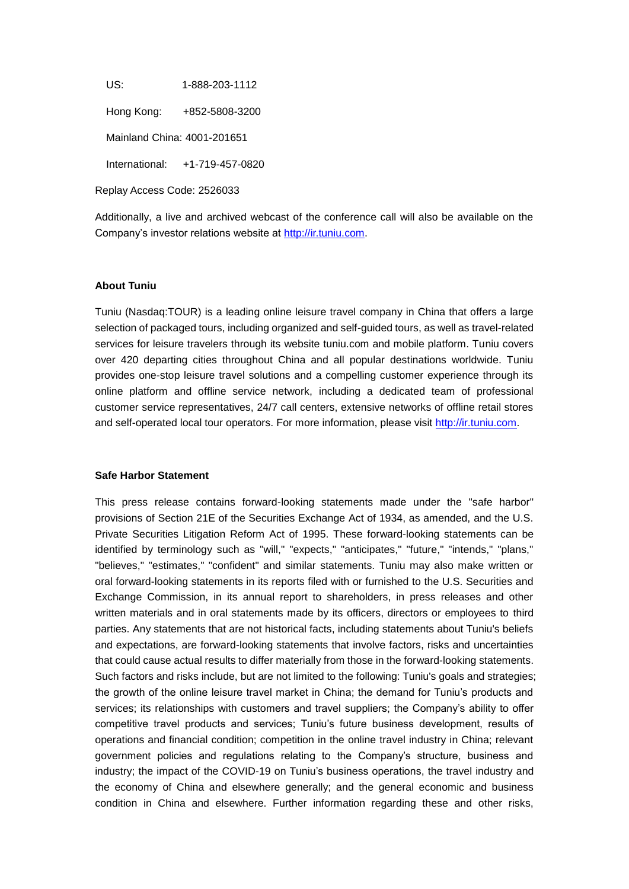US: 1-888-203-1112 Hong Kong: +852-5808-3200 Mainland China: 4001-201651 International: +1-719-457-0820 Replay Access Code: 2526033

Additionally, a live and archived webcast of the conference call will also be available on the Company's investor relations website at [http://ir.tuniu.com.](http://ir.tuniu.com/)

## **About Tuniu**

Tuniu (Nasdaq:TOUR) is a leading online leisure travel company in China that offers a large selection of packaged tours, including organized and self-guided tours, as well as travel-related services for leisure travelers through its website tuniu.com and mobile platform. Tuniu covers over 420 departing cities throughout China and all popular destinations worldwide. Tuniu provides one-stop leisure travel solutions and a compelling customer experience through its online platform and offline service network, including a dedicated team of professional customer service representatives, 24/7 call centers, extensive networks of offline retail stores and self-operated local tour operators. For more information, please visit [http://ir.tuniu.com.](http://ir.tuniu.com/)

#### **Safe Harbor Statement**

This press release contains forward-looking statements made under the "safe harbor" provisions of Section 21E of the Securities Exchange Act of 1934, as amended, and the U.S. Private Securities Litigation Reform Act of 1995. These forward-looking statements can be identified by terminology such as "will," "expects," "anticipates," "future," "intends," "plans," "believes," "estimates," "confident" and similar statements. Tuniu may also make written or oral forward-looking statements in its reports filed with or furnished to the U.S. Securities and Exchange Commission, in its annual report to shareholders, in press releases and other written materials and in oral statements made by its officers, directors or employees to third parties. Any statements that are not historical facts, including statements about Tuniu's beliefs and expectations, are forward-looking statements that involve factors, risks and uncertainties that could cause actual results to differ materially from those in the forward-looking statements. Such factors and risks include, but are not limited to the following: Tuniu's goals and strategies; the growth of the online leisure travel market in China; the demand for Tuniu's products and services; its relationships with customers and travel suppliers; the Company's ability to offer competitive travel products and services; Tuniu's future business development, results of operations and financial condition; competition in the online travel industry in China; relevant government policies and regulations relating to the Company's structure, business and industry; the impact of the COVID-19 on Tuniu's business operations, the travel industry and the economy of China and elsewhere generally; and the general economic and business condition in China and elsewhere. Further information regarding these and other risks,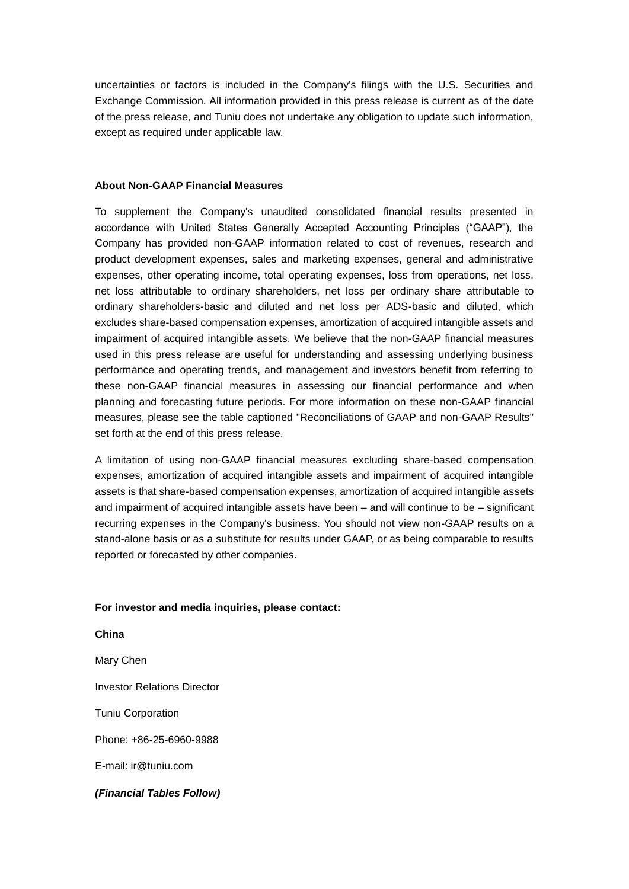uncertainties or factors is included in the Company's filings with the U.S. Securities and Exchange Commission. All information provided in this press release is current as of the date of the press release, and Tuniu does not undertake any obligation to update such information, except as required under applicable law.

## **About Non-GAAP Financial Measures**

To supplement the Company's unaudited consolidated financial results presented in accordance with United States Generally Accepted Accounting Principles ("GAAP"), the Company has provided non-GAAP information related to cost of revenues, research and product development expenses, sales and marketing expenses, general and administrative expenses, other operating income, total operating expenses, loss from operations, net loss, net loss attributable to ordinary shareholders, net loss per ordinary share attributable to ordinary shareholders-basic and diluted and net loss per ADS-basic and diluted, which excludes share-based compensation expenses, amortization of acquired intangible assets and impairment of acquired intangible assets. We believe that the non-GAAP financial measures used in this press release are useful for understanding and assessing underlying business performance and operating trends, and management and investors benefit from referring to these non-GAAP financial measures in assessing our financial performance and when planning and forecasting future periods. For more information on these non-GAAP financial measures, please see the table captioned "Reconciliations of GAAP and non-GAAP Results" set forth at the end of this press release.

A limitation of using non-GAAP financial measures excluding share-based compensation expenses, amortization of acquired intangible assets and impairment of acquired intangible assets is that share-based compensation expenses, amortization of acquired intangible assets and impairment of acquired intangible assets have been – and will continue to be – significant recurring expenses in the Company's business. You should not view non-GAAP results on a stand-alone basis or as a substitute for results under GAAP, or as being comparable to results reported or forecasted by other companies.

## **For investor and media inquiries, please contact:**

**China**  Mary Chen Investor Relations Director Tuniu Corporation Phone: +86-25-6960-9988 E-mail: [ir@tuniu.com](mailto:ir@tuniu.com) *(Financial Tables Follow)*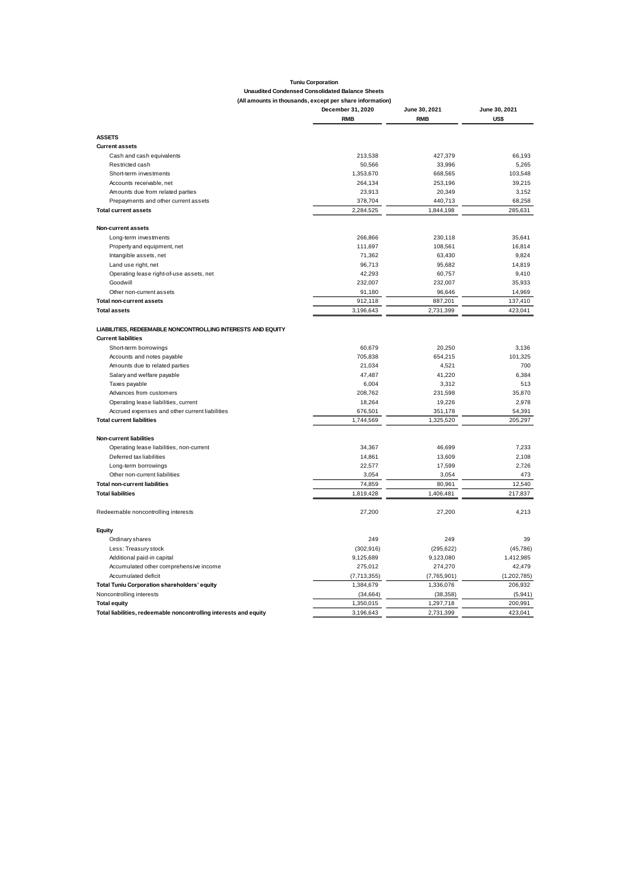# **Tuniu Corporation Unaudited Condensed Consolidated Balance Sheets (All amounts in thousands, except per share information)**

|                                                                   | December 31, 2020 | June 30, 2021 | June 30, 2021 |  |
|-------------------------------------------------------------------|-------------------|---------------|---------------|--|
|                                                                   | <b>RMB</b>        | <b>RMB</b>    | US\$          |  |
|                                                                   |                   |               |               |  |
| <b>ASSETS</b>                                                     |                   |               |               |  |
| <b>Current assets</b>                                             |                   |               |               |  |
| Cash and cash equivalents                                         | 213,538           | 427,379       | 66,193        |  |
| Restricted cash                                                   | 50,566            | 33,996        | 5,265         |  |
| Short-term investments                                            | 1,353,670         | 668,565       | 103,548       |  |
| Accounts receivable, net                                          | 264,134           | 253,196       | 39,215        |  |
| Amounts due from related parties                                  | 23,913            | 20,349        | 3,152         |  |
| Prepayments and other current assets                              | 378,704           | 440,713       | 68,258        |  |
| <b>Total current assets</b>                                       | 2,284,525         | 1,844,198     | 285,631       |  |
| Non-current assets                                                |                   |               |               |  |
| Long-term investments                                             | 266,866           | 230,118       | 35,641        |  |
| Property and equipment, net                                       | 111,697           | 108,561       | 16,814        |  |
| Intangible assets, net                                            | 71,362            | 63,430        | 9,824         |  |
| Land use right, net                                               | 96,713            | 95,682        | 14,819        |  |
| Operating lease right-of-use assets, net                          | 42,293            | 60,757        | 9,410         |  |
| Goodwill                                                          | 232,007           | 232,007       | 35,933        |  |
| Other non-current assets                                          | 91,180            | 96,646        | 14,969        |  |
| <b>Total non-current assets</b>                                   | 912,118           | 887,201       | 137,410       |  |
| <b>Total assets</b>                                               | 3,196,643         | 2,731,399     | 423,041       |  |
|                                                                   |                   |               |               |  |
| LIABILITIES, REDEEMABLE NONCONTROLLING INTERESTS AND EQUITY       |                   |               |               |  |
| <b>Current liabilities</b>                                        |                   |               |               |  |
| Short-term borrowings                                             | 60,679            | 20,250        | 3,136         |  |
| Accounts and notes payable                                        | 705,838           | 654,215       | 101,325       |  |
| Amounts due to related parties                                    | 21,034            | 4,521         | 700           |  |
| Salary and welfare payable                                        | 47,487            | 41,220        | 6,384         |  |
| Taxes payable                                                     | 6,004             | 3,312         | 513           |  |
| Advances from customers                                           | 208,762           | 231,598       | 35,870        |  |
| Operating lease liabilities, current                              | 18,264            | 19,226        | 2,978         |  |
| Accrued expenses and other current liabilities                    | 676,501           | 351,178       | 54,391        |  |
| <b>Total current liabilities</b>                                  | 1,744,569         | 1,325,520     | 205,297       |  |
| <b>Non-current liabilities</b>                                    |                   |               |               |  |
| Operating lease liabilities, non-current                          | 34,367            | 46,699        | 7,233         |  |
| Deferred tax liabilities                                          | 14,861            | 13,609        | 2,108         |  |
| Long-term borrowings                                              | 22,577            | 17,599        | 2,726         |  |
| Other non-current liabilities                                     | 3,054             | 3,054         | 473           |  |
| <b>Total non-current liabilities</b>                              | 74,859            | 80,961        | 12,540        |  |
| <b>Total liabilities</b>                                          | 1,819,428         | 1,406,481     | 217,837       |  |
| Redeemable noncontrolling interests                               | 27,200            | 27,200        | 4,213         |  |
| <b>Equity</b>                                                     |                   |               |               |  |
| Ordinary shares                                                   | 249               | 249           | 39            |  |
| Less: Treasury stock                                              | (302, 916)        | (295, 622)    | (45, 786)     |  |
| Additional paid-in capital                                        | 9,125,689         | 9,123,080     | 1,412,985     |  |
| Accumulated other comprehensive income                            | 275,012           | 274,270       | 42,479        |  |
| Accumulated deficit                                               | (7,713,355)       | (7,765,901)   | (1, 202, 785) |  |
| <b>Total Tuniu Corporation shareholders' equity</b>               | 1,384,679         | 1,336,076     | 206,932       |  |
| Noncontrolling interests                                          | (34, 664)         | (38, 358)     | (5,941)       |  |
| <b>Total equity</b>                                               | 1,350,015         | 1,297,718     | 200,991       |  |
| Total liabilities, redeemable noncontrolling interests and equity | 3,196,643         | 2,731,399     | 423.041       |  |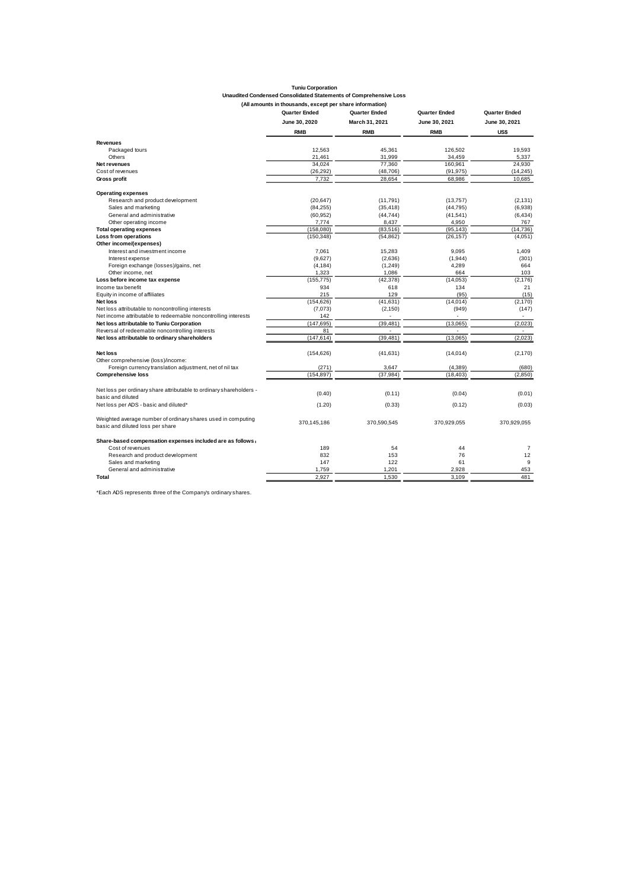#### **Tuniu Corporation Unaudited Condensed Consolidated Statements of Comprehensive Loss (All amounts in thousands, except per share information)**

|                                                                     | <b>Quarter Ended</b> | <b>Quarter Ended</b> | <b>Quarter Ended</b><br>June 30, 2021 | <b>Quarter Ended</b><br>June 30, 2021 |
|---------------------------------------------------------------------|----------------------|----------------------|---------------------------------------|---------------------------------------|
|                                                                     | June 30, 2020        | March 31, 2021       |                                       |                                       |
|                                                                     | <b>RMB</b>           | <b>RMB</b>           | <b>RMB</b>                            | US\$                                  |
| <b>Revenues</b>                                                     |                      |                      |                                       |                                       |
| Packaged tours                                                      | 12.563               | 45.361               | 126.502                               | 19.593                                |
| Others                                                              | 21.461               | 31,999               | 34.459                                | 5,337                                 |
| <b>Net revenues</b>                                                 | 34,024               | 77,360               | 160,961                               | 24,930                                |
| Cost of revenues                                                    | (26, 292)            | (48, 706)            | (91, 975)                             | (14, 245)                             |
| Gross profit                                                        | 7,732                | 28,654               | 68,986                                | 10,685                                |
| <b>Operating expenses</b>                                           |                      |                      |                                       |                                       |
| Research and product development                                    | (20, 647)            | (11, 791)            | (13, 757)                             | (2, 131)                              |
| Sales and marketing                                                 | (84, 255)            | (35, 418)            | (44, 795)                             | (6,938)                               |
| General and administrative                                          | (60, 952)            | (44, 744)            | (41, 541)                             | (6, 434)                              |
| Other operating income                                              | 7,774                | 8,437                | 4,950                                 | 767                                   |
| <b>Total operating expenses</b>                                     | (158,080)            | (83, 516)            | (95, 143)                             | (14, 736)                             |
| Loss from operations                                                | (150, 348)           | (54, 862)            | (26, 157)                             | (4,051)                               |
| Other income/(expenses)                                             |                      |                      |                                       |                                       |
| Interest and investment income                                      | 7,061                | 15,283               | 9,095                                 | 1.409                                 |
| Interest expense                                                    | (9,627)              | (2,636)              | (1, 944)                              | (301)                                 |
| Foreign exchange (losses)/gains, net                                | (4, 184)             | (1, 249)             | 4,289                                 | 664                                   |
| Other income, net                                                   | 1,323                | 1,086                | 664                                   | 103                                   |
| Loss before income tax expense                                      | (155, 775)           | (42, 378)            | (14, 053)                             | (2, 176)                              |
| Income tax benefit                                                  | 934                  | 618                  | 134                                   | 21                                    |
| Equity in income of affiliates                                      | 215                  | 129                  | (95)                                  | (15)                                  |
| <b>Net loss</b>                                                     | (154, 626)           | (41, 631)            | (14, 014)                             | (2, 170)                              |
| Net loss attributable to noncontrolling interests                   | (7,073)              | (2, 150)             | (949)                                 | (147)                                 |
| Net income attributable to redeemable noncontrolling interests      | 142                  |                      |                                       |                                       |
| Net loss attributable to Tuniu Corporation                          | (147, 695)           | (39, 481)            | (13,065)                              | (2,023)                               |
| Reversal of redeemable noncontrolling interests                     | 81                   |                      |                                       |                                       |
| Net loss attributable to ordinary shareholders                      | (147, 614)           | (39, 481)            | (13,065)                              | (2,023)                               |
| <b>Net loss</b>                                                     | (154, 626)           | (41, 631)            | (14, 014)                             | (2, 170)                              |
| Other comprehensive (loss)/income:                                  |                      |                      |                                       |                                       |
| Foreign currency translation adjustment, net of nil tax             | (271)                | 3,647                | (4, 389)                              | (680)                                 |
| <b>Comprehensive loss</b>                                           | (154, 897)           | (37, 984)            | (18, 403)                             | (2,850)                               |
|                                                                     |                      |                      |                                       |                                       |
| Net loss per ordinary share attributable to ordinary shareholders - | (0.40)               | (0.11)               | (0.04)                                | (0.01)                                |
| basic and diluted                                                   |                      |                      |                                       |                                       |
| Net loss per ADS - basic and diluted*                               | (1.20)               | (0.33)               | (0.12)                                | (0.03)                                |
| Weighted average number of ordinary shares used in computing        |                      |                      |                                       |                                       |
| basic and diluted loss per share                                    | 370,145,186          | 370,590,545          | 370,929,055                           | 370,929,055                           |
| Share-based compensation expenses included are as follows:          |                      |                      |                                       |                                       |
| Cost of revenues                                                    | 189                  | 54                   | 44                                    | $\overline{7}$                        |
| Research and product development                                    | 832                  | 153                  | 76                                    | 12                                    |
| Sales and marketing                                                 | 147                  | 122                  | 61                                    | 9                                     |
| General and administrative                                          | 1.759                | 1.201                | 2,928                                 | 453                                   |
| Total                                                               | 2,927                | 1,530                | 3.109                                 | 481                                   |

\*Each ADS represents three of the Company's ordinary shares.